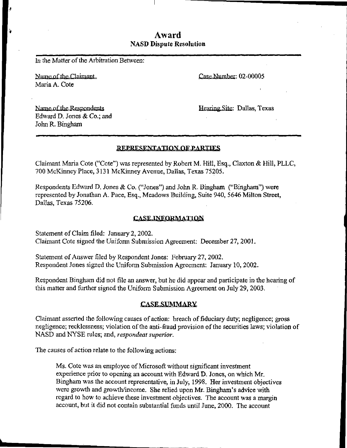# Award NASD Dispute Resolution

In the Matter of the Arbitration Between;

Name of the Claimant Maria A. Cote

Case Number: 02-00005

Name of the Respondents Edward D. Jones & Co.; and John R. Bingham

Hearing Site: Dallas, Texas

## REPRESENTATION OF PARTIES

Claimant Maria Cote ("Cote") was represented by Robert M. Hill, Esq., Claxton & Hill, PLLC, 700 McKinney Place, 3131 McKinney Avenue, Dallas, Texas 75205.

Respondents Edward D. Jones & Co, ("Jones") and John R. Bingham ("Bingham") were represented by Jonathan A. Pace, Esq., Meadows Building, Suite 940, 5646 Milton Street, Dallas, Texas 75206.

## **CASE INFORMATION**

Statement of Claim filed: January 2, 2002. Claimant Cote signed the Uniform Submission Agreement: December 27, 2001 .

Statement of Answer filed by Respondent Jones: February 27, 2002. Respondent Jones signed the Uniform Submission Agreement: January 10, 2002.

Respondent Bingham did not file an answer, but he did appear and participate in the hearing of this matter and further signed the Uniform Submission Agreement on July 29, 2003.

## **CASE SUMMARY**

Claimant asserted the following causes of action: breach of fiduciary duty; negligence; gross negligence; recklessness; violation of the anti-fraud provision of the securities laws; violation of NASD and NYSE rules; and, respondeat superior.

The causes of action relate to the following actions:

Ms. Cote was an employee of Microsoft without significant investment experience prior to opening an account with Edward D. Jones, on which Mr. Bingham was the account representative, in July, 1998. Her investment objectives were growth and growth/income. She relied upon Mr. Bingham's advice with regard to how to achieve these investment objectives. The account was a margin account, but it did not contain substantial funds until June, 2000. The account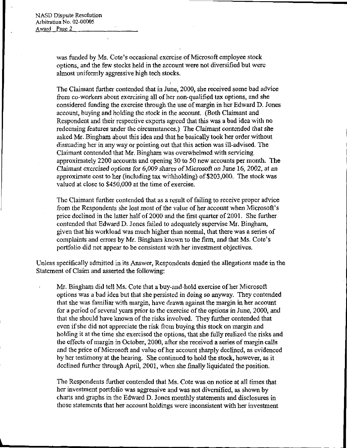$\mathbf{r}$ 

was funded by Ms. Cote's occasional exercise of Microsoft employee stock options, and the few stocks held in the account were not diversified but were almost uniformly aggressive high tech stocks.

The Claimant further contended that in June, 2000, she received some bad advice from co-workers about exercising all of her non-qualified tax options, and she considered funding the exercise through the use of margin in her Edward D. Jones account, buying and holding the stock in the account. (Both Claimant and Respondent and their respective experts agreed that this was a bad idea with no redeeming features under the circumstances.) The Claimant contended that she asked Mr. Bingham about this idea and that he basically took her order without dissuading her in any way or pointing out that this action was ill-advised. The Claimant contended that Mr. Bingham was overwhelmed with servicing approximately 2200 accounts and opening 30 to 50 new accounts per month. The Claimant exercised options for 6,009 shares of Microsoft on June 16, 2002, at an approximate cost to her (including tax withholding) of \$203,000. The stock was valued at close to \$450,000 at the time of exercise.

i

The Claimant further contended that as a result of failing to receive proper advice from the Respondents she lost most of the value of her account when Microsoft's price declined in the latter half of 2000 and the first quarter of 2001. She further contended that Edward D. Jones failed to adequately supervise Mr. Bingham, given that his workload was much higher than normal, that there was a series of complaints and errors by Mr. Bingham known to the firm, and that Ms. Cote's portfolio did not appear to be consistent with her investment objectives.

Unless specifically admitted in its Answer, Respondents denied the allegations made in the Statement of Claim and asserted the following:

Mr. Bingham did tell Ms. Cote that abuy-and-hold exercise of her Microsoft options was a bad idea but that she persisted in doing so anyway. They contended that she was familiar with margin, have drawn against the margin in her account for a period of several years prior to the exercise of the options in June, 2000, and that she should have known of the risks involved. They further contended that even if she did not appreciate the risk from buying this stock on margin and holding it at the time she exercised the options, that she fully realized the risks and the effects of margin in October, 2000, after she received a series of margin calls and the price of Microsoft and value of her account sharply declined, as evidenced by her testimony at the hearing. She continued to hold the stock, however, as it declined further through April, 2001, when she finally liquidated the position.

The Respondents further contended that Ms. Cote was on notice at all times that her investment portfolio was aggressive and was not diversified, as shown by charts and graphs in the Edward D. Jones monthly statements and disclosures in those statements that her account holdings were inconsistent with her investment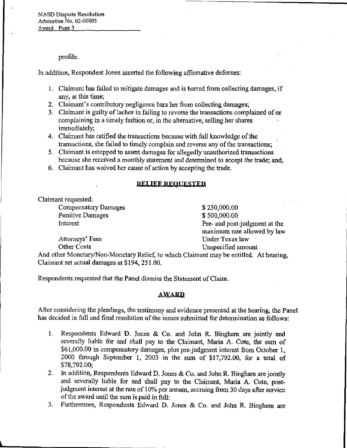profile.

In addition, Respondent Jones asserted the following affirmative defenses:

- 1. Claimant has failed to mitigate damages and is barred from collecting damages, if any, at this time;
- 2. Claimant's contributory negligence bars her from collecting damages;
- 3. Claimant is guilty of laches in failing to reverse the transactions complained of or complaining in a timely fashion or, in the alternative, selling her shares immediately;
- 4. Claimant has ratified the transactions because with full knowledge of the transactions, she failed to timely complain and reverse any of the transactions;
- 5. Claimant is estopped to assert damages for allegedly unauthorized transactions because she received a monthly statement and determined to accept the trade; and,
- 6. Claimant has waived her cause of action by accepting the trade.

## RELIEF REQUESTED

Claimant requested:

Compensatory Damages \$250,000.00 Punitive Damages \$500,000.00

Interest Pre- and post-judgment at the maximum rate allowed by law Attorneys' Fees Under Texas law Other Costs Unspecified amount

And other Monetary/Non-Monetary Relief, to which Claimant may be entitled. At hearing, Claimant set actual damages at \$194, 251.00.

Respondents requested that the Panel dismiss the Statement of Claim.

## **AWARD**

After considering the pleadings, the testimony and evidence presented at the hearing, the Panel has decided in full and final resolution of the issues submitted for determination as follows:

- 1. Respondents Edward D. Jones & Co. and John R. Bingham are jointly and severally liable for and shall pay to the Claimant, Maria A. Cote, the sum of \$61,000.00 in compensatory damages, plus pre-judgment interest from October 1, 2000 through September 1, 2003 in the sum of \$17,792.00, for a total of \$78,792.00;
- 2. In addition, Respondents Edward D. Jones & Co. and John R. Bingham are jointly and severally liable for and shall pay to the Claimant, Maria A. Cote, postjudgment interest at the rate of 10% per annum, accruing from 30 days after service of the award until the sum is paid in full:
- 3. Furthermore, Respondents Edward D. Jones & Co. and John R. Bingham are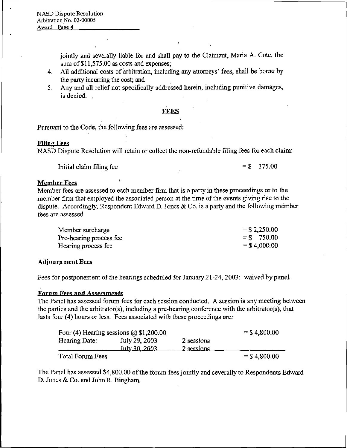jointly and severally liable for and shall pay to the Claimant, Maria A. Cote, the sum of  $$11,575.00$  as costs and expenses;

- 4. All additional costs of arbitration, including any attorneys' fees, shall be borne by the party incurring the cost; and
- 5. Any and all relief not specifically addressed herein, including punitive damages, is denied.

## FFFS

Pursuant to the Code, the following fees are assessed:

## Filing Fees

NASD Dispute Resolution will retain or collect the non-refundable filing fees for each claim:

Initial claim filing fee  $= $$  375.00

## Member Fees

Member fees are assessed to each member firm that is a party in these proceedings or to the member firm that employed the associated person at the time of the events giving rise to the dispute. Accordingly, Respondent Edward D. Jones & Co. is a party and the following member fees are assessed

| Member surcharge        | $=$ \$ 2,250.00 |
|-------------------------|-----------------|
| Pre-hearing process fee | $=$ \$ 750.00   |
| Hearing process fee     | $= $4,000.00$   |

## Adjournment Fees

Fees for postponement of the hearings scheduled for January 21-24, 2003: waived by panel.

## Forum Fees and Assessments

The Panel has assessed forum fees for each session conducted. A session is any meeting between the parties and the arbitrator(s), including a pre-hearing conference with the arbitrator(s), that lasts four (4) hours or less. Fees associated with these proceedings are:

|                  | Four (4) Hearing sessions $\omega$ \$1,200.00 |                          | $=$ \$4,800.00 |
|------------------|-----------------------------------------------|--------------------------|----------------|
| Hearing Date:    | July 29, 2003<br>Iuly 30, 2003                | 2 sessions<br>2 sessions |                |
| Total Forum Fees |                                               |                          | $=$ \$4,800.00 |

The Panel has assessed \$4,800.00 of the forum fees jointly and severally to Respondents Edward D. Jones & Co. and John R. Bingham,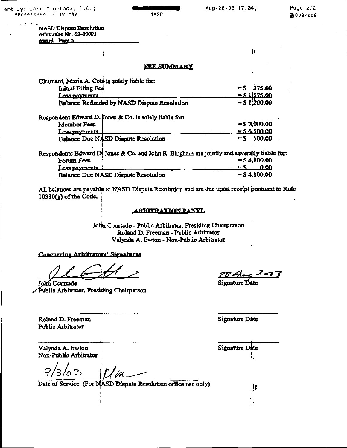ent By: John Courtade, P.C.; υσέ 28/2003 ΤΕΙΤΟ ΡΑΧ

 $\mathbf{H}$ 

#### **NASD Dispute Resolution** Arbitration No. 02-00005 Award Page 5

ł

## **FEE SIMMARY**

| Claimant, Maria A. Cote is solely liable for:                                               |                     |
|---------------------------------------------------------------------------------------------|---------------------|
| Initial Filing Fee                                                                          | $-5$ 375.00         |
| Less nayments                                                                               | $= 5.11575.00$      |
| Balance Refunded by NASD Dispute Resolution                                                 | $-51.200.00$        |
| Respondent Edward D. Jones & Co. is solely liable for:                                      |                     |
| Member Fees                                                                                 | $=$ \$7,000.00      |
| Less nayments                                                                               | = 5 6 500 00        |
| Balance Due NASD Dispute Resolution                                                         | 500.00<br>$\sim$    |
| Respondents Edward D. Jones & Co. and John R. Bingham are jointly and severally liable for: |                     |
| Forum Fees                                                                                  | $=$ \$4,800.00      |
| <u>Less payments</u>                                                                        | 0.00<br>$=$ $\zeta$ |
| Balance Due NASD Dispute Resolution                                                         | $-54,800,00$        |

All balances are payable to NASD Dispute Resolution and are due upon receipt pursuant to Rule  $10330(g)$  of the Code.

#### ARRITPATION PANEL

John Courtade - Public Arbitrator, Presiding Chairperson Roland D. Freeman - Public Arbitrator Valynda A. Ewton - Non-Public Arbitrator

## Concurring Arbitrators' Signatures

John Courtade Public Arbitrator, Presiding Chairperson

ا جستم

Signature Date

Roland D. Freeman **Public Arbitrator** 

Valynda A. Ewton Non-Public Arbitrator

Date of Service (For NASD Dispute Resolution office use only)

Signature Date

Signature Date

中 li Ħ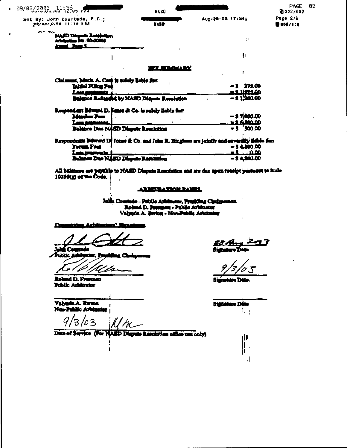| 09/03/2003.11:36                                                                                                             | <b>NASO</b>           |                                                      | PAGE<br>2002/002            |
|------------------------------------------------------------------------------------------------------------------------------|-----------------------|------------------------------------------------------|-----------------------------|
| lent By: John Courteds, P.C.;<br>NOT BOYSUND TITTU FAR                                                                       | <b>NASP</b>           | Aug-28-08 17:04;                                     | Page 2/2<br><b>Dest/600</b> |
| and the second state<br><b>NASD Diren</b><br>Aristophine 3th, 00-00803<br>i hai                                              |                       | ÷.                                                   |                             |
|                                                                                                                              |                       | ħ                                                    |                             |
|                                                                                                                              | <b>ATLANTANA AREK</b> |                                                      |                             |
| Claimsmt, Macia A. Coab is suisity listics for:<br><b>Inisial Piling For</b><br>Balance Radiagond by NASD Dispute Resolution |                       | -1 375.00<br><u>. 2 11174.00</u><br>$-31.300.00$     |                             |
| Roupendout Bewerd D. Fonce & Co. is solely liable for<br>Manber Poes<br>Balazion Dan NASD Diapute Rounlation                 |                       | $-$ 3 $7.000.00$<br><u>∍ 3 ấ9m 00</u><br>$-5'500.00$ |                             |
| Respondants Boward Di Jones & Co. and John R. Bingham are jointly and a<br><b>Forum Four</b><br>وأنضب ومحددا                 |                       | <b>- 5 4,800,00</b><br>-1 100                        | rendir lidh fan             |
| <b>Balance Due NASD Dispute Recention</b>                                                                                    |                       | $-34,00.00$                                          |                             |

All balances are payable to NASD Dispute Resolution and are due upon resolpt piers and to Rule 10330(g) of the Code.

#### ARRETAATION PARKE

John Courtado - Public Aristanter, Presiding Canigpenson.<br>Roland D. Provence: - Public Aristanter. Valynda A. Berkus - Non-Public Arbitrator

Concerting Arbitrature' Bigst

œħ abido

in í

Roland D. Frasman Poblic Arbitrator

Valyada A. Bwton t Nas-Public Arbitrator

 $9/3/03$  $^{\prime\prime\prime\prime}$ 

۱

Date of Service (For NASD Dispute Resolution office use only)

Ell Angel<br>Ngunan Din

 $02$ 

Bign n Di

Signature Disto  $1_{\pm}$ 

 $||||$ ׀׀<br>׀׀

đ